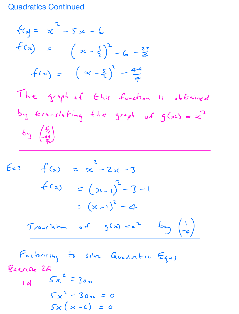## **Quadratics Continued**

$$
f(x) = x^{2} - 5x - 6
$$
\n
$$
f(x) = (x - \frac{5}{2})^{2} - 6 - \frac{25}{4}
$$
\n
$$
f(x) = (x - \frac{5}{2})^{3} - \frac{44}{4}
$$
\n
$$
The graph of this function is obtained by tan-axis/4 in the graph of sin-axis/4 to be given by 
$$
f(x) = \frac{25}{4}
$$
$$

 $Ex2$   $f(x) = x^2 - 2x - 3$  $f(x) = (x-1)^2 - 3 - 1$  $=(x-1)^2-4$ Translation of  $S(x) = x^2$   $S(-4)$ Factorising to solve Quadratic Equi Exercic 2A  $14$   $5x^{2} = 30x$  $5x^{2} - 30x = 0$  $5x(x-6) = 0$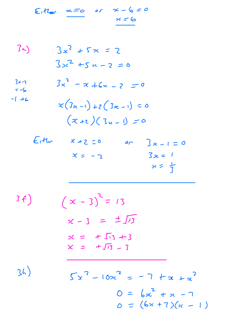Either  $x=0$  or  $x-(0=0)$  $2c = 6$ 

 $3 3x^{2} + 5x = 2$  $3x^{2} + 5x - 2 = 0$  $3x^{2}$  - x + 6x - 2 = 0  $3x-2$  $= -6$  $-1 + 6$  $x(3x-1)+z(3x-1)=0$  $(x + 2)(3x - 1) = 0$  $E_1$ th  $x+2=0$  $or \quad 3x-1=0$  $3x = 1$  $x = -2$  $x = \frac{1}{7}$ 

 $3f)$  $(x - 3)^{2} = 13$  $x - 3 = \pm \sqrt{3}$  $x = +\sqrt{13} + 3$  $x = +\sqrt{13} - 3$ 

 $34)$ 

$$
5x^{2} - 10x^{2} = -7 + x + x^{2}
$$
  

$$
0 = bx^{2} + x - 7
$$
  

$$
0 = (6x + 7)(x - 1)
$$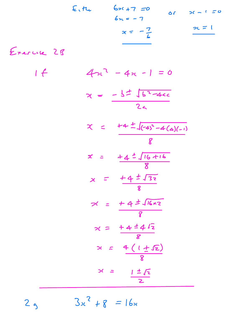$$
x = -\frac{3}{6}
$$
 or  $x = 1$   
 $x = -\frac{7}{6}$ 

Exercise 2B

 $2<sub>9</sub>$ 

 $1 f$  $4x^2 - 4x - 1 = 0$  $x = \frac{-5\pm\sqrt{5^{2}-4cc}}{2a}$  $x = +4 \pm \sqrt{(-4)^2 - 4(a)(-1)}$  $\overline{R}$  $x = \frac{14 \pm \sqrt{16 + 16}}{8}$  $x = \frac{14 \pm \sqrt{32}}{8}$  $76 = +47\sqrt{16\times2}$  $x = \frac{14 \pm 4 \sqrt{2}}{8}$  $x = 4(1 \pm \sqrt{2})$  $x = \frac{1 \pm \sqrt{2}}{2}$ 

 $3x^{2} + 8 = 16x$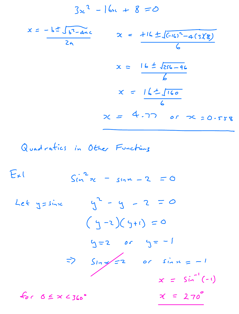$$
3x^{2} - 16x + 8 = 0
$$

$$
x = -\frac{17}{29}
$$
  
\n $x = \frac{116 \pm \sqrt{610^2 - 4(318)}}{6}$   
\n $x = \frac{16 \pm \sqrt{256 - 96}}{6}$   
\n $x = \frac{16 \pm \sqrt{160}}{6}$   
\n $x = 4.77$  or  $x = 0.558$ 

 $E_{\star}$  $sin^2 x - sin^2 - 2 = 0$  $y^2 - y - z = 0$ Let y = sinne  $(4-2)(5+1) = 0$  $y = 2$  or  $y = -1$  $\Rightarrow$  Slanger or since = -1  $x = \sin^{-1}(-1)$  $x = 270^{\circ}$  $f_{0c}$   $6 \le x < 360^\circ$